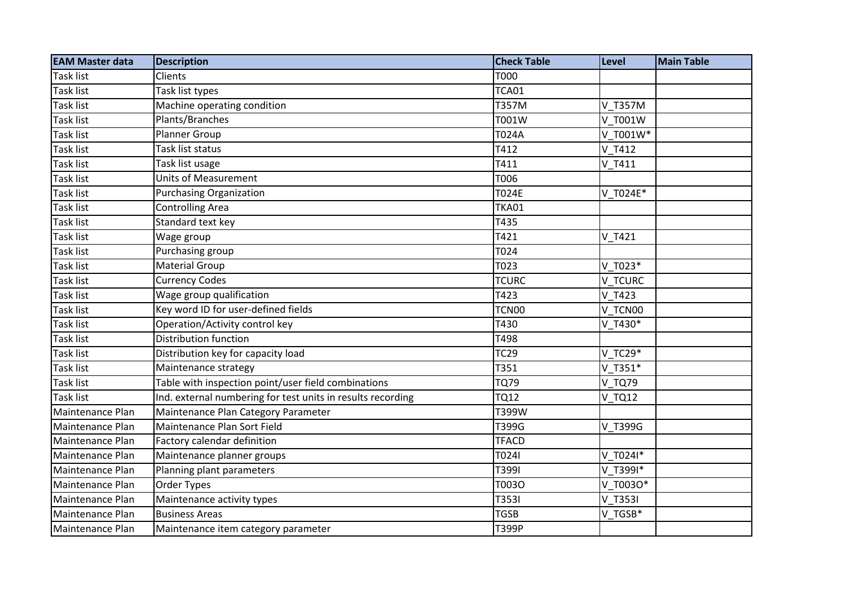| <b>EAM Master data</b> | <b>Description</b>                                          | <b>Check Table</b> | Level         | <b>Main Table</b> |
|------------------------|-------------------------------------------------------------|--------------------|---------------|-------------------|
| <b>Task list</b>       | Clients                                                     | T000               |               |                   |
| <b>Task list</b>       | Task list types                                             | <b>TCA01</b>       |               |                   |
| Task list              | Machine operating condition                                 | T357M              | V T357M       |                   |
| Task list              | Plants/Branches                                             | T001W              | V T001W       |                   |
| Task list              | Planner Group                                               | T024A              | V T001W*      |                   |
| Task list              | Task list status                                            | T412               | V T412        |                   |
| Task list              | Task list usage                                             | T411               | V T411        |                   |
| Task list              | <b>Units of Measurement</b>                                 | T006               |               |                   |
| Task list              | <b>Purchasing Organization</b>                              | <b>T024E</b>       | V T024E*      |                   |
| Task list              | <b>Controlling Area</b>                                     | <b>TKA01</b>       |               |                   |
| Task list              | Standard text key                                           | T435               |               |                   |
| Task list              | Wage group                                                  | T421               | V T421        |                   |
| Task list              | Purchasing group                                            | T024               |               |                   |
| Task list              | <b>Material Group</b>                                       | T023               | V T023*       |                   |
| Task list              | <b>Currency Codes</b>                                       | <b>TCURC</b>       | V TCURC       |                   |
| Task list              | Wage group qualification                                    | T423               | V T423        |                   |
| Task list              | Key word ID for user-defined fields                         | TCN00              | V TCN00       |                   |
| Task list              | Operation/Activity control key                              | T430               | V T430*       |                   |
| Task list              | Distribution function                                       | T498               |               |                   |
| Task list              | Distribution key for capacity load                          | <b>TC29</b>        | $V$ TC29 $*$  |                   |
| Task list              | Maintenance strategy                                        | T351               | $V$ T351*     |                   |
| Task list              | Table with inspection point/user field combinations         | <b>TQ79</b>        | <b>V TQ79</b> |                   |
| Task list              | Ind. external numbering for test units in results recording | <b>TQ12</b>        | <b>V_TQ12</b> |                   |
| Maintenance Plan       | Maintenance Plan Category Parameter                         | T399W              |               |                   |
| Maintenance Plan       | Maintenance Plan Sort Field                                 | T399G              | V T399G       |                   |
| Maintenance Plan       | Factory calendar definition                                 | <b>TFACD</b>       |               |                   |
| Maintenance Plan       | Maintenance planner groups                                  | T024I              | V_T024I*      |                   |
| Maintenance Plan       | Planning plant parameters                                   | T3991              | V T3991*      |                   |
| Maintenance Plan       | Order Types                                                 | T003O              | V T0030*      |                   |
| Maintenance Plan       | Maintenance activity types                                  | T3531              | V T353I       |                   |
| Maintenance Plan       | <b>Business Areas</b>                                       | <b>TGSB</b>        | V TGSB*       |                   |
| Maintenance Plan       | Maintenance item category parameter                         | T399P              |               |                   |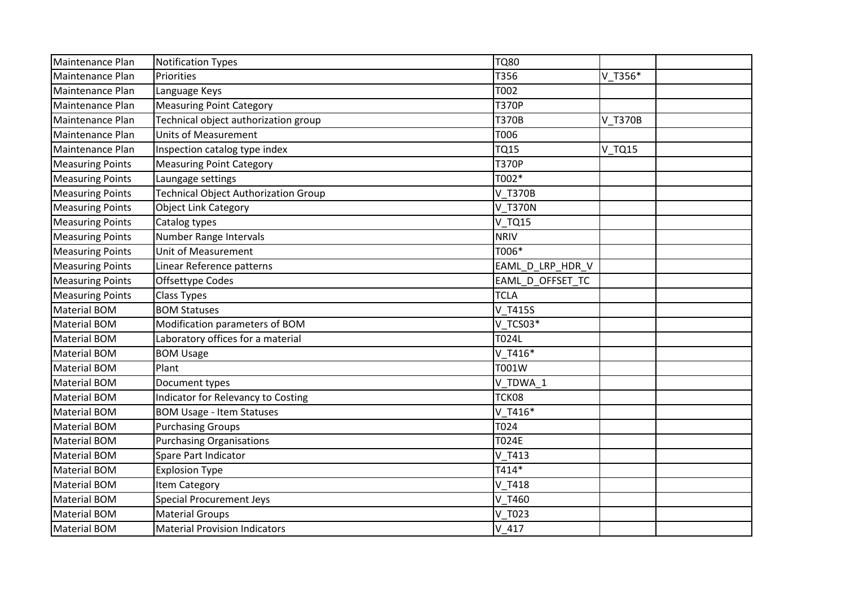| Maintenance Plan        | <b>Notification Types</b>                   | <b>TQ80</b>      |               |  |
|-------------------------|---------------------------------------------|------------------|---------------|--|
| Maintenance Plan        | Priorities                                  | T356             | V T356*       |  |
| Maintenance Plan        | Language Keys                               | T002             |               |  |
| Maintenance Plan        | <b>Measuring Point Category</b>             | <b>T370P</b>     |               |  |
| Maintenance Plan        | Technical object authorization group        | <b>T370B</b>     | V T370B       |  |
| Maintenance Plan        | <b>Units of Measurement</b>                 | <b>T006</b>      |               |  |
| Maintenance Plan        | Inspection catalog type index               | <b>TQ15</b>      | <b>V_TQ15</b> |  |
| <b>Measuring Points</b> | <b>Measuring Point Category</b>             | <b>T370P</b>     |               |  |
| <b>Measuring Points</b> | Laungage settings                           | T002*            |               |  |
| <b>Measuring Points</b> | <b>Technical Object Authorization Group</b> | V T370B          |               |  |
| <b>Measuring Points</b> | <b>Object Link Category</b>                 | <b>V T370N</b>   |               |  |
| <b>Measuring Points</b> | Catalog types                               | <b>V TQ15</b>    |               |  |
| <b>Measuring Points</b> | Number Range Intervals                      | <b>NRIV</b>      |               |  |
| <b>Measuring Points</b> | Unit of Measurement                         | T006*            |               |  |
| <b>Measuring Points</b> | Linear Reference patterns                   | EAML_D_LRP_HDR_V |               |  |
| <b>Measuring Points</b> | Offsettype Codes                            | EAML D OFFSET TC |               |  |
| <b>Measuring Points</b> | <b>Class Types</b>                          | <b>TCLA</b>      |               |  |
| <b>Material BOM</b>     | <b>BOM Statuses</b>                         | V T415S          |               |  |
| <b>Material BOM</b>     | Modification parameters of BOM              | V TCS03*         |               |  |
| <b>Material BOM</b>     | Laboratory offices for a material           | T024L            |               |  |
| <b>Material BOM</b>     | <b>BOM Usage</b>                            | $V$ T416*        |               |  |
| <b>Material BOM</b>     | Plant                                       | T001W            |               |  |
| <b>Material BOM</b>     | Document types                              | V TDWA 1         |               |  |
| <b>Material BOM</b>     | Indicator for Relevancy to Costing          | TCK08            |               |  |
| <b>Material BOM</b>     | <b>BOM Usage - Item Statuses</b>            | V_T416*          |               |  |
| <b>Material BOM</b>     | <b>Purchasing Groups</b>                    | T024             |               |  |
| <b>Material BOM</b>     | <b>Purchasing Organisations</b>             | T024E            |               |  |
| <b>Material BOM</b>     | Spare Part Indicator                        | V T413           |               |  |
| <b>Material BOM</b>     | <b>Explosion Type</b>                       | T414*            |               |  |
| <b>Material BOM</b>     | <b>Item Category</b>                        | V T418           |               |  |
| <b>Material BOM</b>     | <b>Special Procurement Jeys</b>             | V T460           |               |  |
| <b>Material BOM</b>     | <b>Material Groups</b>                      | V T023           |               |  |
| <b>Material BOM</b>     | <b>Material Provision Indicators</b>        | $V$ 417          |               |  |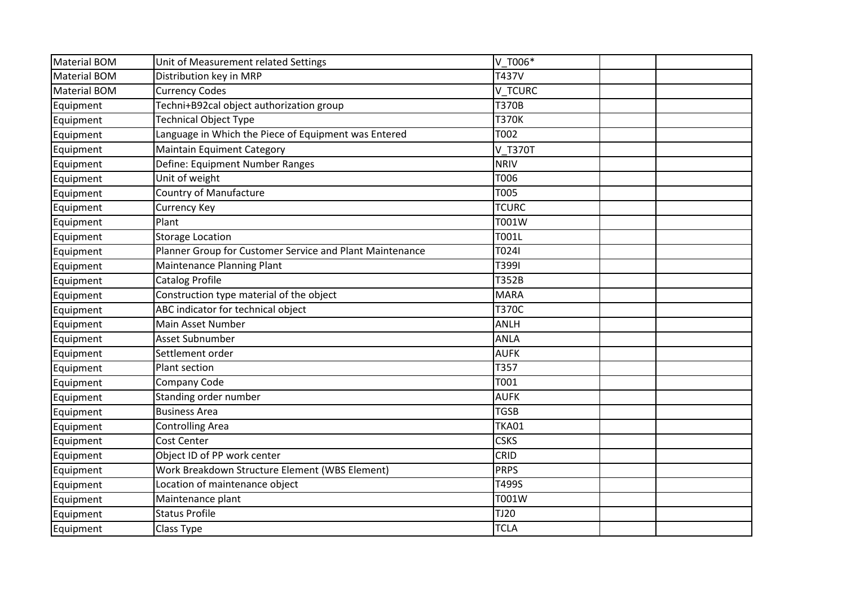| <b>Material BOM</b> | Unit of Measurement related Settings                     | V T006*        |  |
|---------------------|----------------------------------------------------------|----------------|--|
| <b>Material BOM</b> | Distribution key in MRP                                  | T437V          |  |
| Material BOM        | <b>Currency Codes</b>                                    | <b>V TCURC</b> |  |
| Equipment           | Techni+B92cal object authorization group                 | <b>T370B</b>   |  |
| Equipment           | <b>Technical Object Type</b>                             | <b>T370K</b>   |  |
| Equipment           | Language in Which the Piece of Equipment was Entered     | T002           |  |
| Equipment           | <b>Maintain Equiment Category</b>                        | V T370T        |  |
| Equipment           | Define: Equipment Number Ranges                          | <b>NRIV</b>    |  |
| Equipment           | Unit of weight                                           | T006           |  |
| Equipment           | <b>Country of Manufacture</b>                            | <b>T005</b>    |  |
| Equipment           | <b>Currency Key</b>                                      | <b>TCURC</b>   |  |
| Equipment           | Plant                                                    | T001W          |  |
| Equipment           | <b>Storage Location</b>                                  | T001L          |  |
| Equipment           | Planner Group for Customer Service and Plant Maintenance | T024I          |  |
| Equipment           | Maintenance Planning Plant                               | T3991          |  |
| Equipment           | <b>Catalog Profile</b>                                   | T352B          |  |
| Equipment           | Construction type material of the object                 | <b>MARA</b>    |  |
| Equipment           | ABC indicator for technical object                       | <b>T370C</b>   |  |
| Equipment           | Main Asset Number                                        | <b>ANLH</b>    |  |
| Equipment           | Asset Subnumber                                          | <b>ANLA</b>    |  |
| Equipment           | Settlement order                                         | <b>AUFK</b>    |  |
| Equipment           | Plant section                                            | T357           |  |
| Equipment           | Company Code                                             | T001           |  |
| Equipment           | Standing order number                                    | <b>AUFK</b>    |  |
| Equipment           | <b>Business Area</b>                                     | <b>TGSB</b>    |  |
| Equipment           | <b>Controlling Area</b>                                  | <b>TKA01</b>   |  |
| Equipment           | Cost Center                                              | <b>CSKS</b>    |  |
| Equipment           | Object ID of PP work center                              | CRID           |  |
| Equipment           | Work Breakdown Structure Element (WBS Element)           | <b>PRPS</b>    |  |
| Equipment           | Location of maintenance object                           | T499S          |  |
| Equipment           | Maintenance plant                                        | T001W          |  |
| Equipment           | <b>Status Profile</b>                                    | TJ20           |  |
| Equipment           | Class Type                                               | <b>TCLA</b>    |  |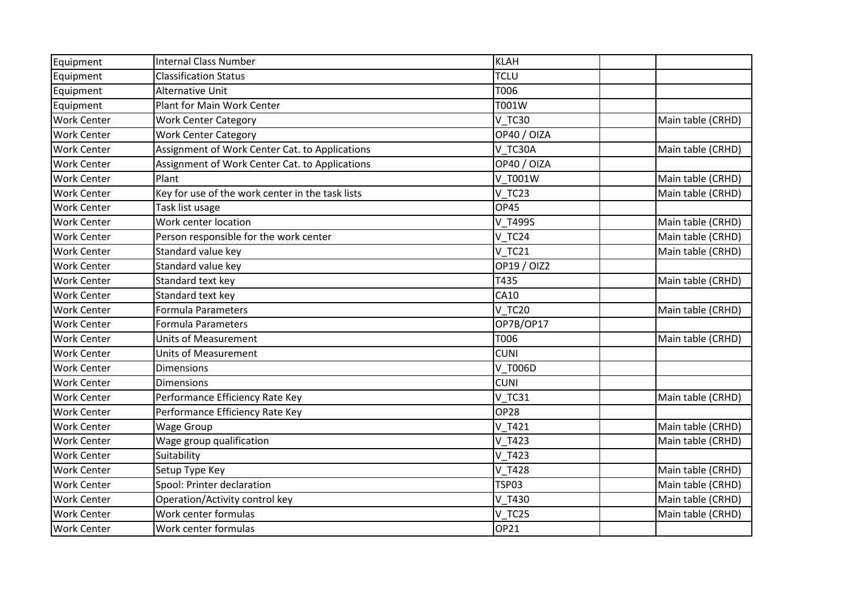| Equipment          | <b>Internal Class Number</b>                     | <b>KLAH</b>   |                   |
|--------------------|--------------------------------------------------|---------------|-------------------|
| Equipment          | <b>Classification Status</b>                     | <b>TCLU</b>   |                   |
| Equipment          | Alternative Unit                                 | T006          |                   |
| Equipment          | Plant for Main Work Center                       | T001W         |                   |
| <b>Work Center</b> | <b>Work Center Category</b>                      | <b>V TC30</b> | Main table (CRHD) |
| <b>Work Center</b> | <b>Work Center Category</b>                      | OP40 / OIZA   |                   |
| <b>Work Center</b> | Assignment of Work Center Cat. to Applications   | V TC30A       | Main table (CRHD) |
| <b>Work Center</b> | Assignment of Work Center Cat. to Applications   | OP40 / OIZA   |                   |
| <b>Work Center</b> | Plant                                            | V T001W       | Main table (CRHD) |
| <b>Work Center</b> | Key for use of the work center in the task lists | V TC23        | Main table (CRHD) |
| <b>Work Center</b> | Task list usage                                  | OP45          |                   |
| <b>Work Center</b> | Work center location                             | V T499S       | Main table (CRHD) |
| <b>Work Center</b> | Person responsible for the work center           | V_TC24        | Main table (CRHD) |
| <b>Work Center</b> | Standard value key                               | <b>V TC21</b> | Main table (CRHD) |
| <b>Work Center</b> | Standard value key                               | OP19 / OIZ2   |                   |
| <b>Work Center</b> | Standard text key                                | T435          | Main table (CRHD) |
| <b>Work Center</b> | Standard text key                                | CA10          |                   |
| <b>Work Center</b> | <b>Formula Parameters</b>                        | <b>V TC20</b> | Main table (CRHD) |
| <b>Work Center</b> | <b>Formula Parameters</b>                        | OP7B/OP17     |                   |
| <b>Work Center</b> | <b>Units of Measurement</b>                      | T006          | Main table (CRHD) |
| <b>Work Center</b> | <b>Units of Measurement</b>                      | <b>CUNI</b>   |                   |
| <b>Work Center</b> | <b>Dimensions</b>                                | V T006D       |                   |
| <b>Work Center</b> | <b>Dimensions</b>                                | <b>CUNI</b>   |                   |
| <b>Work Center</b> | Performance Efficiency Rate Key                  | <b>V TC31</b> | Main table (CRHD) |
| <b>Work Center</b> | Performance Efficiency Rate Key                  | <b>OP28</b>   |                   |
| <b>Work Center</b> | <b>Wage Group</b>                                | V T421        | Main table (CRHD) |
| <b>Work Center</b> | Wage group qualification                         | $V$ _T423     | Main table (CRHD) |
| <b>Work Center</b> | Suitability                                      | V T423        |                   |
| <b>Work Center</b> | Setup Type Key                                   | V_T428        | Main table (CRHD) |
| <b>Work Center</b> | Spool: Printer declaration                       | <b>TSP03</b>  | Main table (CRHD) |
| <b>Work Center</b> | Operation/Activity control key                   | V_T430        | Main table (CRHD) |
| <b>Work Center</b> | Work center formulas                             | V TC25        | Main table (CRHD) |
| <b>Work Center</b> | Work center formulas                             | OP21          |                   |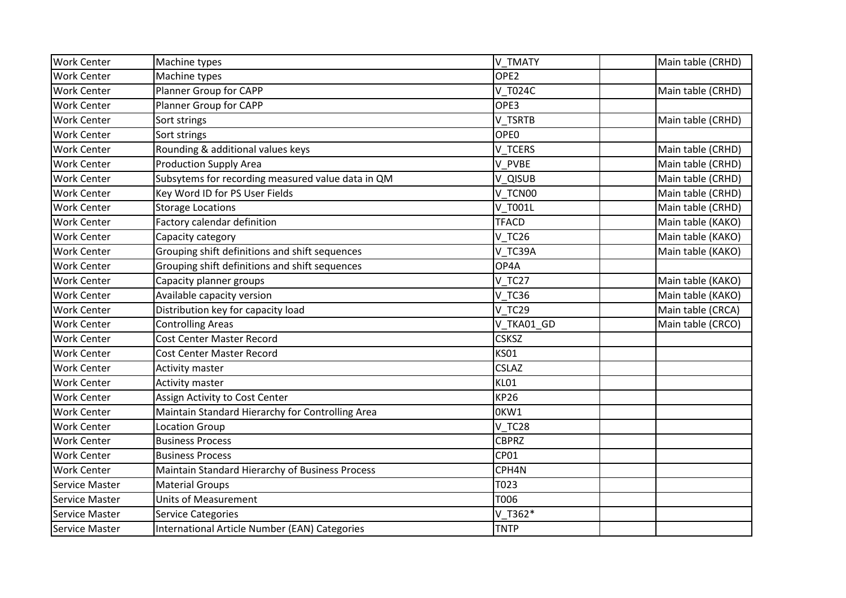| <b>Work Center</b>    | Machine types                                     | V TMATY          | Main table (CRHD) |
|-----------------------|---------------------------------------------------|------------------|-------------------|
| <b>Work Center</b>    | Machine types                                     | OPE <sub>2</sub> |                   |
| <b>Work Center</b>    | Planner Group for CAPP                            | V T024C          | Main table (CRHD) |
| <b>Work Center</b>    | Planner Group for CAPP                            | OPE3             |                   |
| <b>Work Center</b>    | Sort strings                                      | V TSRTB          | Main table (CRHD) |
| <b>Work Center</b>    | Sort strings                                      | OPE <sub>0</sub> |                   |
| <b>Work Center</b>    | Rounding & additional values keys                 | V TCERS          | Main table (CRHD) |
| <b>Work Center</b>    | <b>Production Supply Area</b>                     | V PVBE           | Main table (CRHD) |
| <b>Work Center</b>    | Subsytems for recording measured value data in QM | V QISUB          | Main table (CRHD) |
| <b>Work Center</b>    | Key Word ID for PS User Fields                    | V TCN00          | Main table (CRHD) |
| <b>Work Center</b>    | <b>Storage Locations</b>                          | V T001L          | Main table (CRHD) |
| <b>Work Center</b>    | Factory calendar definition                       | <b>TFACD</b>     | Main table (KAKO) |
| <b>Work Center</b>    | Capacity category                                 | V TC26           | Main table (KAKO) |
| <b>Work Center</b>    | Grouping shift definitions and shift sequences    | V TC39A          | Main table (KAKO) |
| <b>Work Center</b>    | Grouping shift definitions and shift sequences    | OP4A             |                   |
| <b>Work Center</b>    | Capacity planner groups                           | V TC27           | Main table (KAKO) |
| <b>Work Center</b>    | Available capacity version                        | <b>V TC36</b>    | Main table (KAKO) |
| <b>Work Center</b>    | Distribution key for capacity load                | V TC29           | Main table (CRCA) |
| <b>Work Center</b>    | <b>Controlling Areas</b>                          | V_TKA01_GD       | Main table (CRCO) |
| <b>Work Center</b>    | Cost Center Master Record                         | <b>CSKSZ</b>     |                   |
| <b>Work Center</b>    | Cost Center Master Record                         | <b>KS01</b>      |                   |
| <b>Work Center</b>    | Activity master                                   | <b>CSLAZ</b>     |                   |
| <b>Work Center</b>    | <b>Activity master</b>                            | KL01             |                   |
| <b>Work Center</b>    | Assign Activity to Cost Center                    | <b>KP26</b>      |                   |
| <b>Work Center</b>    | Maintain Standard Hierarchy for Controlling Area  | OKW1             |                   |
| <b>Work Center</b>    | <b>Location Group</b>                             | V_TC28           |                   |
| <b>Work Center</b>    | <b>Business Process</b>                           | <b>CBPRZ</b>     |                   |
| <b>Work Center</b>    | <b>Business Process</b>                           | <b>CP01</b>      |                   |
| <b>Work Center</b>    | Maintain Standard Hierarchy of Business Process   | CPH4N            |                   |
| <b>Service Master</b> | <b>Material Groups</b>                            | T023             |                   |
| Service Master        | <b>Units of Measurement</b>                       | T006             |                   |
| Service Master        | <b>Service Categories</b>                         | V_T362*          |                   |
| Service Master        | International Article Number (EAN) Categories     | <b>TNTP</b>      |                   |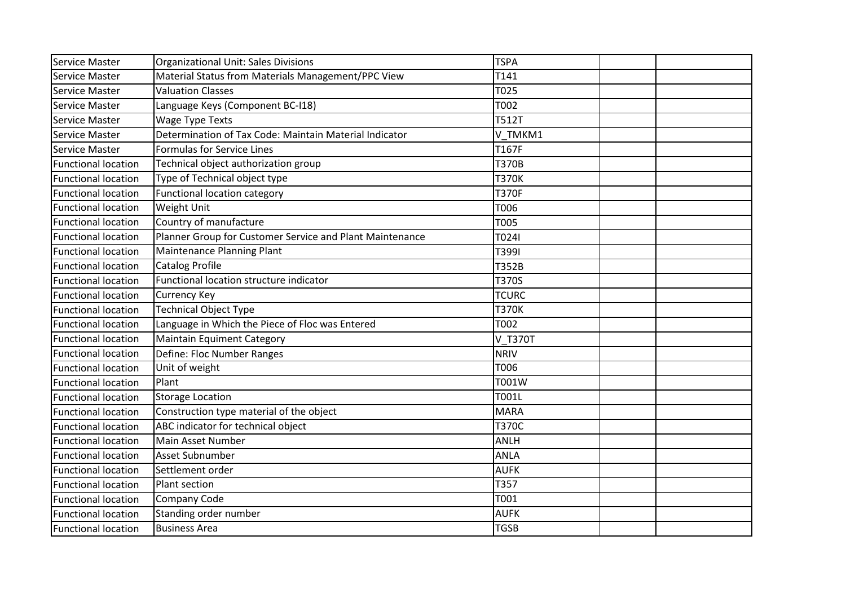| Service Master             | <b>Organizational Unit: Sales Divisions</b>              | <b>TSPA</b>  |  |
|----------------------------|----------------------------------------------------------|--------------|--|
| <b>Service Master</b>      | Material Status from Materials Management/PPC View       | T141         |  |
| Service Master             | <b>Valuation Classes</b>                                 | T025         |  |
| Service Master             | Language Keys (Component BC-I18)                         | T002         |  |
| Service Master             | <b>Wage Type Texts</b>                                   | <b>T512T</b> |  |
| Service Master             | Determination of Tax Code: Maintain Material Indicator   | V TMKM1      |  |
| <b>Service Master</b>      | <b>Formulas for Service Lines</b>                        | T167F        |  |
| <b>Functional location</b> | Technical object authorization group                     | <b>T370B</b> |  |
| <b>Functional location</b> | Type of Technical object type                            | <b>T370K</b> |  |
| <b>Functional location</b> | <b>Functional location category</b>                      | <b>T370F</b> |  |
| <b>Functional location</b> | Weight Unit                                              | T006         |  |
| <b>Functional location</b> | Country of manufacture                                   | <b>T005</b>  |  |
| <b>Functional location</b> | Planner Group for Customer Service and Plant Maintenance | T024I        |  |
| <b>Functional location</b> | Maintenance Planning Plant                               | T3991        |  |
| <b>Functional location</b> | <b>Catalog Profile</b>                                   | T352B        |  |
| <b>Functional location</b> | Functional location structure indicator                  | <b>T370S</b> |  |
| <b>Functional location</b> | <b>Currency Key</b>                                      | <b>TCURC</b> |  |
| <b>Functional location</b> | <b>Technical Object Type</b>                             | <b>T370K</b> |  |
| <b>Functional location</b> | Language in Which the Piece of Floc was Entered          | T002         |  |
| <b>Functional location</b> | Maintain Equiment Category                               | V T370T      |  |
| <b>Functional location</b> | Define: Floc Number Ranges                               | <b>NRIV</b>  |  |
| <b>Functional location</b> | Unit of weight                                           | T006         |  |
| <b>Functional location</b> | Plant                                                    | T001W        |  |
| <b>Functional location</b> | <b>Storage Location</b>                                  | <b>T001L</b> |  |
| <b>Functional location</b> | Construction type material of the object                 | <b>MARA</b>  |  |
| <b>Functional location</b> | ABC indicator for technical object                       | <b>T370C</b> |  |
| <b>Functional location</b> | Main Asset Number                                        | <b>ANLH</b>  |  |
| <b>Functional location</b> | Asset Subnumber                                          | <b>ANLA</b>  |  |
| <b>Functional location</b> | Settlement order                                         | <b>AUFK</b>  |  |
| <b>Functional location</b> | Plant section                                            | T357         |  |
| <b>Functional location</b> | Company Code                                             | T001         |  |
| <b>Functional location</b> | Standing order number                                    | <b>AUFK</b>  |  |
| <b>Functional location</b> | <b>Business Area</b>                                     | <b>TGSB</b>  |  |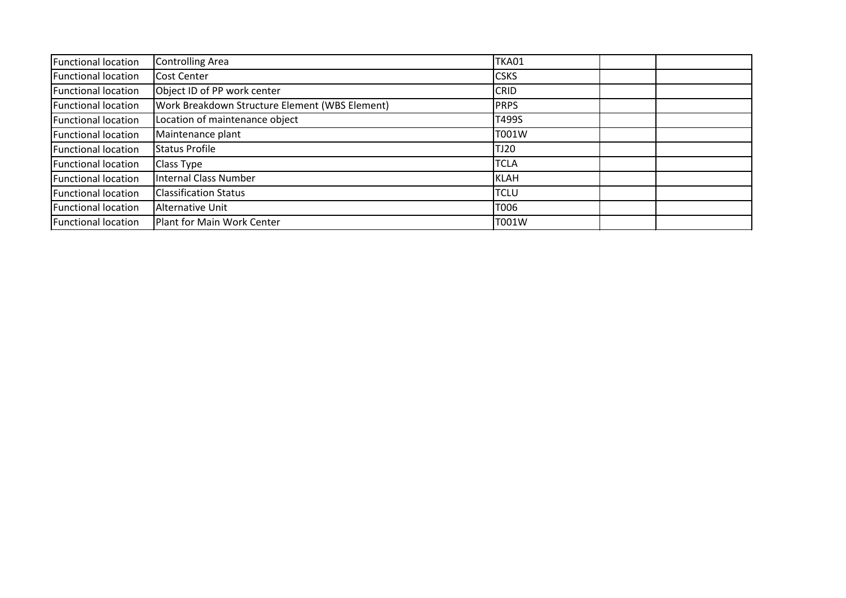| <b>Functional location</b> | <b>Controlling Area</b>                        | <b>TKA01</b> |  |
|----------------------------|------------------------------------------------|--------------|--|
| <b>Functional location</b> | <b>Cost Center</b>                             | <b>CSKS</b>  |  |
| <b>Functional location</b> | Object ID of PP work center                    | <b>CRID</b>  |  |
| <b>Functional location</b> | Work Breakdown Structure Element (WBS Element) | <b>PRPS</b>  |  |
| <b>Functional location</b> | Location of maintenance object                 | T499S        |  |
| <b>Functional location</b> | Maintenance plant                              | T001W        |  |
| <b>Functional location</b> | Status Profile                                 | <b>TJ20</b>  |  |
| <b>Functional location</b> | Class Type                                     | <b>TCLA</b>  |  |
| <b>Functional location</b> | <b>Internal Class Number</b>                   | KLAH         |  |
| <b>Functional location</b> | <b>Classification Status</b>                   | <b>TCLU</b>  |  |
| <b>Functional location</b> | Alternative Unit                               | T006         |  |
| <b>Functional location</b> | Plant for Main Work Center                     | T001W        |  |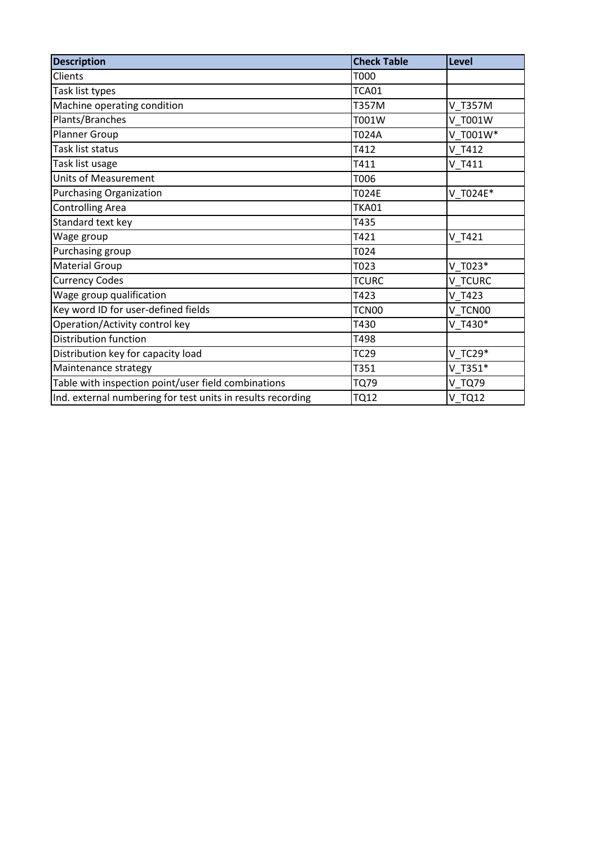| <b>Description</b>                                          | <b>Check Table</b> | Level     |
|-------------------------------------------------------------|--------------------|-----------|
| Clients                                                     | T000               |           |
| Task list types                                             | TCA01              |           |
| Machine operating condition                                 | T357M              | V T357M   |
| Plants/Branches                                             | T001W              | V T001W   |
| Planner Group                                               | T024A              | V T001W*  |
| Task list status                                            | T412               | V T412    |
| Task list usage                                             | T411               | V T411    |
| <b>Units of Measurement</b>                                 | T006               |           |
| <b>Purchasing Organization</b>                              | <b>T024E</b>       | V T024E*  |
| <b>Controlling Area</b>                                     | <b>TKA01</b>       |           |
| Standard text key                                           | T435               |           |
| Wage group                                                  | T421               | V T421    |
| Purchasing group                                            | T024               |           |
| <b>Material Group</b>                                       | T023               | $V$ T023* |
| <b>Currency Codes</b>                                       | <b>TCURC</b>       | V TCURC   |
| Wage group qualification                                    | T423               | V T423    |
| Key word ID for user-defined fields                         | TCN00              | V TCN00   |
| Operation/Activity control key                              | T430               | V T430*   |
| <b>Distribution function</b>                                | T498               |           |
| Distribution key for capacity load                          | <b>TC29</b>        | $V$ TC29* |
| Maintenance strategy                                        | T351               | $V$ T351* |
| Table with inspection point/user field combinations         | <b>TQ79</b>        | V_TQ79    |
| Ind. external numbering for test units in results recording | <b>TQ12</b>        | $V$ TQ12  |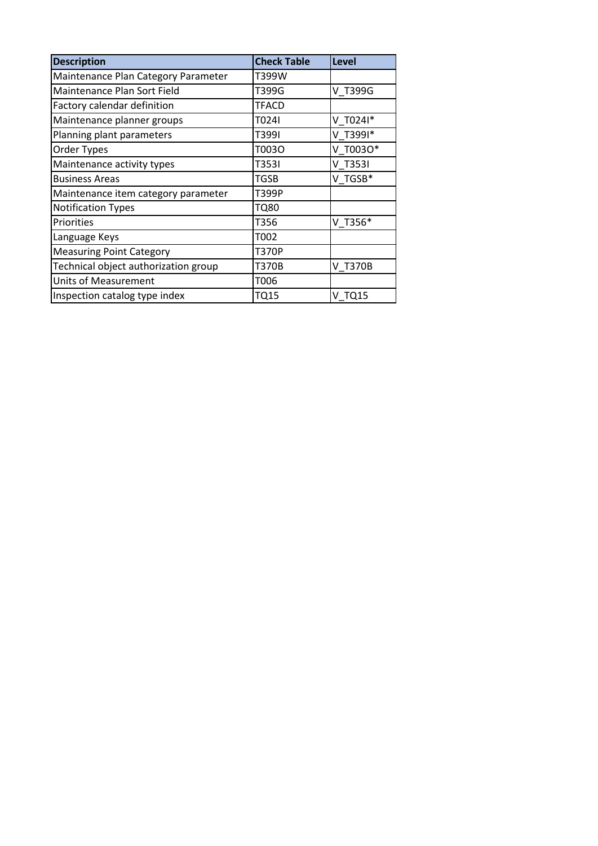| <b>Description</b>                   | <b>Check Table</b> | Level    |
|--------------------------------------|--------------------|----------|
| Maintenance Plan Category Parameter  | T399W              |          |
| Maintenance Plan Sort Field          | T399G              | V T399G  |
| Factory calendar definition          | <b>TFACD</b>       |          |
| Maintenance planner groups           | T024I              | V T0241* |
| Planning plant parameters            | T399I              | V T3991* |
| Order Types                          | T003O              | V T0030* |
| Maintenance activity types           | T353I              | V T3531  |
| <b>Business Areas</b>                | TGSB               | V TGSB*  |
| Maintenance item category parameter  | T399P              |          |
| <b>Notification Types</b>            | <b>TQ80</b>        |          |
| Priorities                           | T356               | V T356*  |
| Language Keys                        | T002               |          |
| <b>Measuring Point Category</b>      | <b>T370P</b>       |          |
| Technical object authorization group | <b>T370B</b>       | V T370B  |
| <b>Units of Measurement</b>          | T006               |          |
| Inspection catalog type index        | <b>TQ15</b>        | V TQ15   |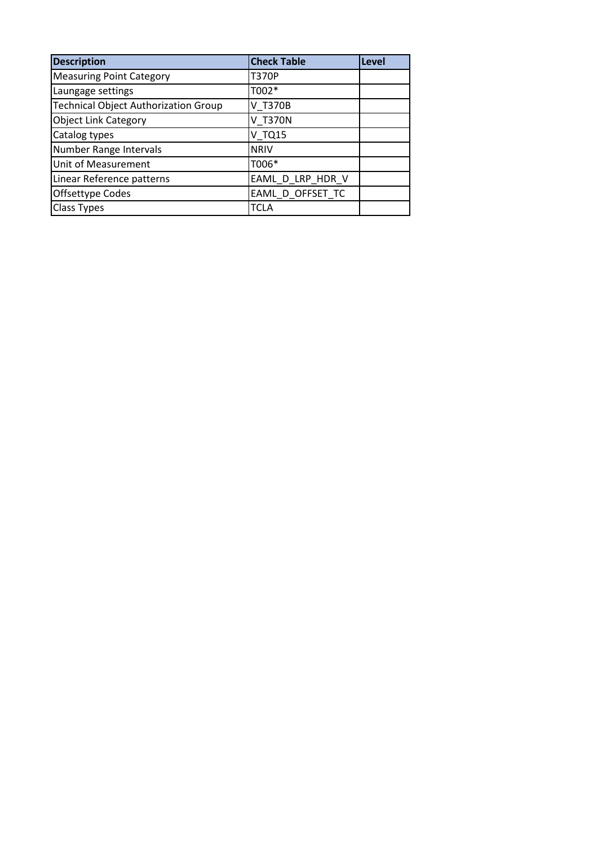| <b>Description</b>                          | <b>Check Table</b> | Level |
|---------------------------------------------|--------------------|-------|
| <b>Measuring Point Category</b>             | <b>T370P</b>       |       |
| Laungage settings                           | T002*              |       |
| <b>Technical Object Authorization Group</b> | V T370B            |       |
| <b>Object Link Category</b>                 | <b>V T370N</b>     |       |
| Catalog types                               | <b>V TQ15</b>      |       |
| Number Range Intervals                      | <b>NRIV</b>        |       |
| Unit of Measurement                         | T006*              |       |
| Linear Reference patterns                   | EAML_D_LRP_HDR_V   |       |
| Offsettype Codes                            | EAML_D_OFFSET_TC   |       |
| <b>Class Types</b>                          | <b>TCLA</b>        |       |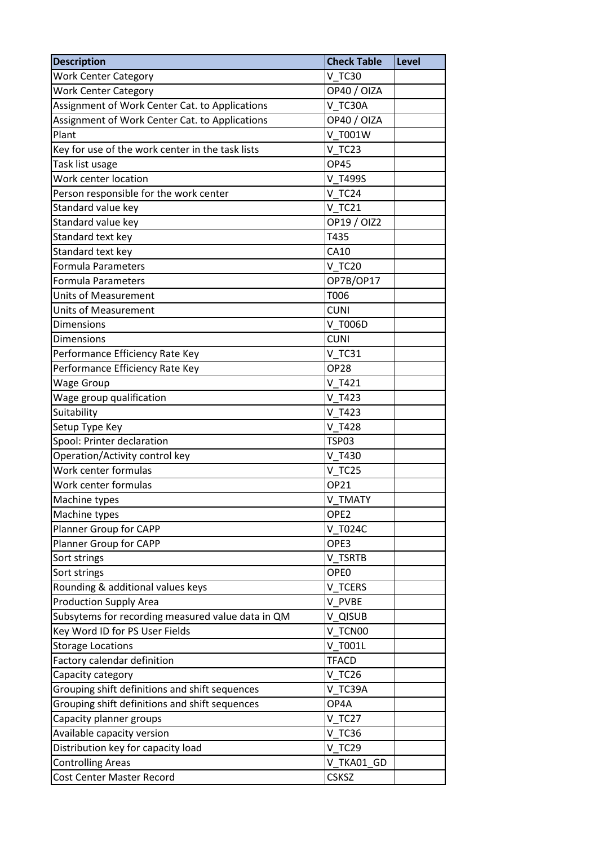| <b>Description</b>                                | <b>Check Table</b> | Level |
|---------------------------------------------------|--------------------|-------|
| <b>Work Center Category</b>                       | <b>V TC30</b>      |       |
| <b>Work Center Category</b>                       | OP40 / OIZA        |       |
| Assignment of Work Center Cat. to Applications    | V TC30A            |       |
| Assignment of Work Center Cat. to Applications    | OP40 / OIZA        |       |
| Plant                                             | V T001W            |       |
| Key for use of the work center in the task lists  | V TC23             |       |
| Task list usage                                   | <b>OP45</b>        |       |
| Work center location                              | V T499S            |       |
| Person responsible for the work center            | V TC24             |       |
| Standard value key                                | $V$ TC21           |       |
| Standard value key                                | OP19 / OIZ2        |       |
| Standard text key                                 | T435               |       |
| Standard text key                                 | CA10               |       |
| <b>Formula Parameters</b>                         | <b>V TC20</b>      |       |
| <b>Formula Parameters</b>                         | OP7B/OP17          |       |
| <b>Units of Measurement</b>                       | T006               |       |
| <b>Units of Measurement</b>                       | <b>CUNI</b>        |       |
| <b>Dimensions</b>                                 | V T006D            |       |
| <b>Dimensions</b>                                 | <b>CUNI</b>        |       |
| Performance Efficiency Rate Key                   | $V_T$ C31          |       |
| Performance Efficiency Rate Key                   | <b>OP28</b>        |       |
| <b>Wage Group</b>                                 | V T421             |       |
| Wage group qualification                          | V T423             |       |
| Suitability                                       | V T423             |       |
| Setup Type Key                                    | V T428             |       |
| Spool: Printer declaration                        | <b>TSP03</b>       |       |
| Operation/Activity control key                    | V T430             |       |
| Work center formulas                              | <b>V TC25</b>      |       |
| Work center formulas                              | <b>OP21</b>        |       |
| Machine types                                     | V TMATY            |       |
| Machine types                                     | OPE <sub>2</sub>   |       |
| Planner Group for CAPP                            | V T024C            |       |
| Planner Group for CAPP                            | OPE3               |       |
| Sort strings                                      | V TSRTB            |       |
| Sort strings                                      | OPE <sub>0</sub>   |       |
| Rounding & additional values keys                 | V TCERS            |       |
| <b>Production Supply Area</b>                     | V PVBE             |       |
| Subsytems for recording measured value data in QM | V_QISUB            |       |
| Key Word ID for PS User Fields                    | V_TCN00            |       |
| <b>Storage Locations</b>                          | V T001L            |       |
| Factory calendar definition                       | <b>TFACD</b>       |       |
| Capacity category                                 | <b>V TC26</b>      |       |
| Grouping shift definitions and shift sequences    | V TC39A            |       |
| Grouping shift definitions and shift sequences    | OP4A               |       |
| Capacity planner groups                           | V TC27             |       |
| Available capacity version                        | <b>V TC36</b>      |       |
| Distribution key for capacity load                | V TC29             |       |
| <b>Controlling Areas</b>                          | V TKA01 GD         |       |
| Cost Center Master Record                         | <b>CSKSZ</b>       |       |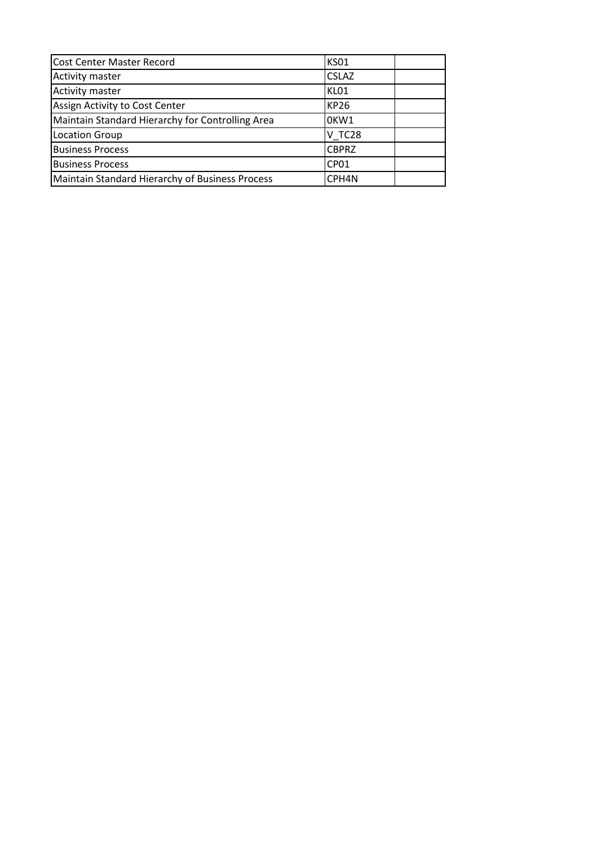| <b>Cost Center Master Record</b>                 | <b>KS01</b>       |  |
|--------------------------------------------------|-------------------|--|
| Activity master                                  | <b>CSLAZ</b>      |  |
| <b>Activity master</b>                           | KL01              |  |
| Assign Activity to Cost Center                   | <b>KP26</b>       |  |
| Maintain Standard Hierarchy for Controlling Area | OKW1              |  |
| <b>Location Group</b>                            | V TC28            |  |
| <b>Business Process</b>                          | <b>CBPRZ</b>      |  |
| <b>Business Process</b>                          | CP <sub>01</sub>  |  |
| Maintain Standard Hierarchy of Business Process  | CPH <sub>4N</sub> |  |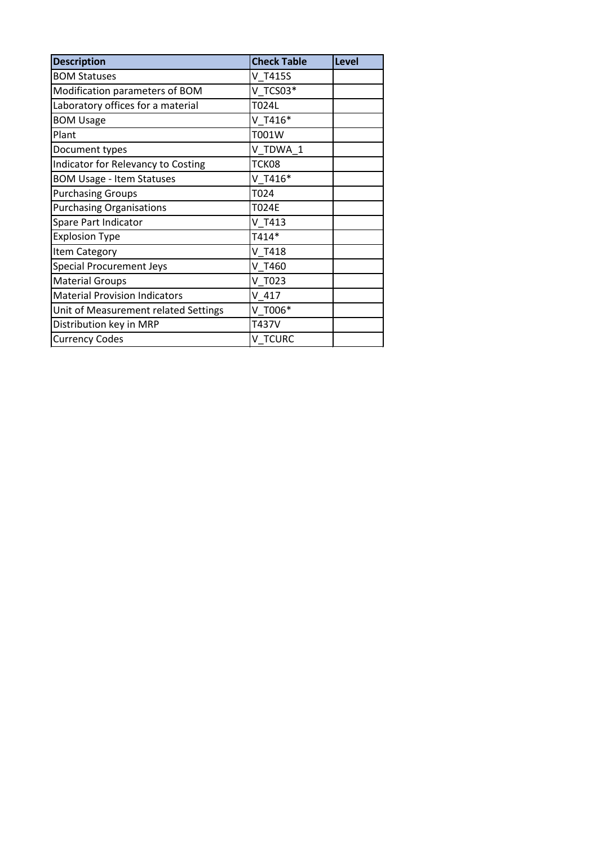| <b>Description</b>                   | <b>Check Table</b> | Level |
|--------------------------------------|--------------------|-------|
| <b>BOM Statuses</b>                  | V T415S            |       |
| Modification parameters of BOM       | V TCS03*           |       |
| Laboratory offices for a material    | T024L              |       |
| <b>BOM Usage</b>                     | $V$ T416*          |       |
| Plant                                | T001W              |       |
| Document types                       | V TDWA 1           |       |
| Indicator for Relevancy to Costing   | TCK08              |       |
| <b>BOM Usage - Item Statuses</b>     | $V$ T416*          |       |
| <b>Purchasing Groups</b>             | T024               |       |
| <b>Purchasing Organisations</b>      | <b>T024E</b>       |       |
| Spare Part Indicator                 | V T413             |       |
| <b>Explosion Type</b>                | T414*              |       |
| Item Category                        | V T418             |       |
| <b>Special Procurement Jeys</b>      | V T460             |       |
| <b>Material Groups</b>               | V T023             |       |
| <b>Material Provision Indicators</b> | $V$ 417            |       |
| Unit of Measurement related Settings | V T006*            |       |
| Distribution key in MRP              | T437V              |       |
| <b>Currency Codes</b>                | V TCURC            |       |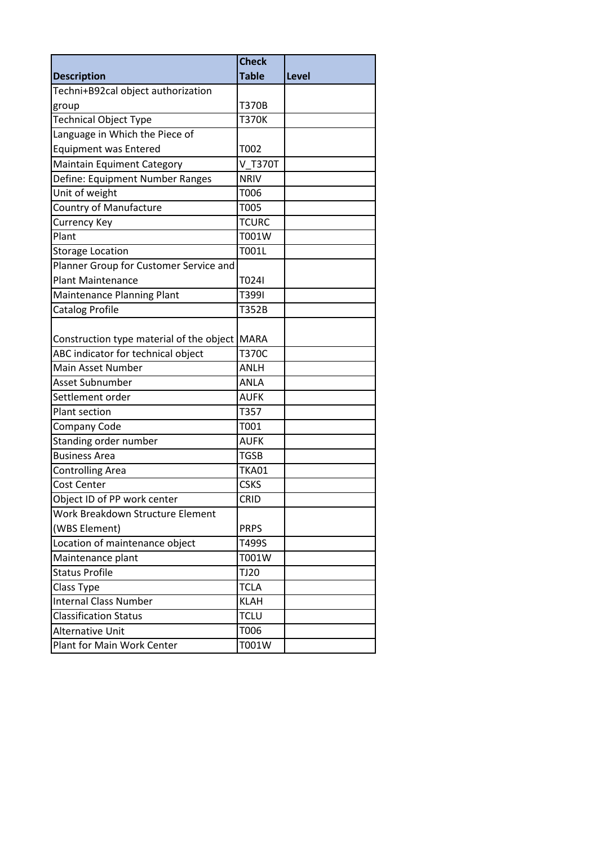|                                                                                     | <b>Check</b> |              |
|-------------------------------------------------------------------------------------|--------------|--------------|
| <b>Description</b>                                                                  | <b>Table</b> | <b>Level</b> |
| Techni+B92cal object authorization                                                  |              |              |
| group                                                                               | <b>T370B</b> |              |
| <b>Technical Object Type</b>                                                        | <b>T370K</b> |              |
| Language in Which the Piece of                                                      |              |              |
| <b>Equipment was Entered</b>                                                        | T002         |              |
| <b>Maintain Equiment Category</b>                                                   | V T370T      |              |
| Define: Equipment Number Ranges                                                     | <b>NRIV</b>  |              |
| Unit of weight                                                                      | T006         |              |
| <b>Country of Manufacture</b>                                                       | T005         |              |
| <b>Currency Key</b>                                                                 | <b>TCURC</b> |              |
| Plant                                                                               | T001W        |              |
| <b>Storage Location</b>                                                             | T001L        |              |
| Planner Group for Customer Service and                                              |              |              |
| <b>Plant Maintenance</b>                                                            | T024I        |              |
| <b>Maintenance Planning Plant</b>                                                   | T399I        |              |
| <b>Catalog Profile</b>                                                              | T352B        |              |
| Construction type material of the object MARA<br>ABC indicator for technical object | <b>T370C</b> |              |
| Main Asset Number                                                                   | ANLH         |              |
| Asset Subnumber                                                                     | <b>ANLA</b>  |              |
| Settlement order                                                                    | <b>AUFK</b>  |              |
| Plant section                                                                       | T357         |              |
| Company Code                                                                        | T001         |              |
| Standing order number                                                               | <b>AUFK</b>  |              |
| <b>Business Area</b>                                                                | <b>TGSB</b>  |              |
| <b>Controlling Area</b>                                                             | <b>TKA01</b> |              |
| Cost Center                                                                         | <b>CSKS</b>  |              |
| Object ID of PP work center                                                         | CRID         |              |
| Work Breakdown Structure Element                                                    |              |              |
| (WBS Element)                                                                       | <b>PRPS</b>  |              |
| Location of maintenance object                                                      | T499S        |              |
| Maintenance plant                                                                   | T001W        |              |
| <b>Status Profile</b>                                                               | <b>TJ20</b>  |              |
| Class Type                                                                          | <b>TCLA</b>  |              |
| <b>Internal Class Number</b>                                                        | <b>KLAH</b>  |              |
| <b>Classification Status</b>                                                        | <b>TCLU</b>  |              |
| <b>Alternative Unit</b>                                                             | T006         |              |
| Plant for Main Work Center                                                          | T001W        |              |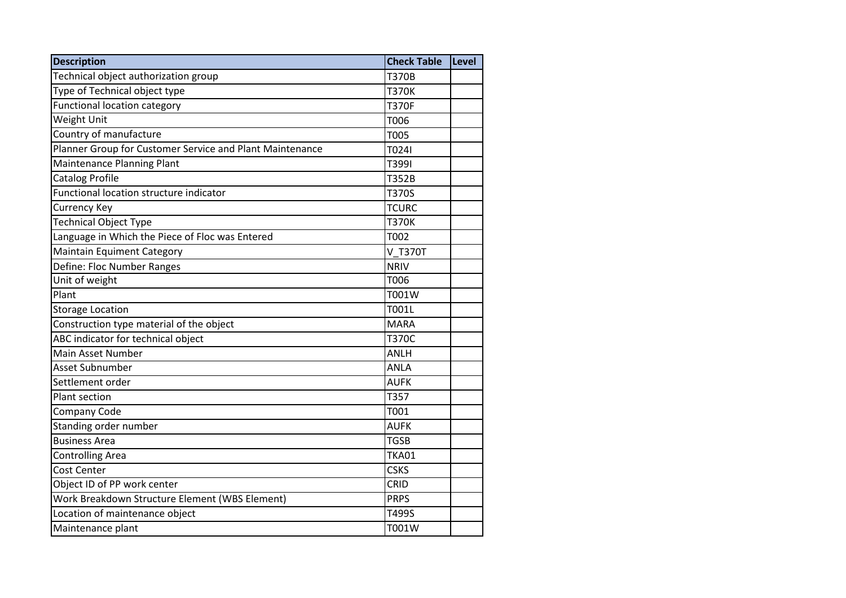| <b>Description</b>                                       | <b>Check Table</b> | Level |
|----------------------------------------------------------|--------------------|-------|
| Technical object authorization group                     | <b>T370B</b>       |       |
| Type of Technical object type                            | <b>T370K</b>       |       |
| <b>Functional location category</b>                      | <b>T370F</b>       |       |
| Weight Unit                                              | T006               |       |
| Country of manufacture                                   | <b>T005</b>        |       |
| Planner Group for Customer Service and Plant Maintenance | T024I              |       |
| <b>Maintenance Planning Plant</b>                        | T399I              |       |
| Catalog Profile                                          | T352B              |       |
| Functional location structure indicator                  | T370S              |       |
| <b>Currency Key</b>                                      | <b>TCURC</b>       |       |
| <b>Technical Object Type</b>                             | <b>T370K</b>       |       |
| Language in Which the Piece of Floc was Entered          | T002               |       |
| <b>Maintain Equiment Category</b>                        | <b>V T370T</b>     |       |
| Define: Floc Number Ranges                               | <b>NRIV</b>        |       |
| Unit of weight                                           | T006               |       |
| Plant                                                    | T001W              |       |
| <b>Storage Location</b>                                  | T001L              |       |
| Construction type material of the object                 | <b>MARA</b>        |       |
| ABC indicator for technical object                       | <b>T370C</b>       |       |
| Main Asset Number                                        | <b>ANLH</b>        |       |
| Asset Subnumber                                          | <b>ANLA</b>        |       |
| Settlement order                                         | <b>AUFK</b>        |       |
| <b>Plant section</b>                                     | T357               |       |
| Company Code                                             | T001               |       |
| Standing order number                                    | <b>AUFK</b>        |       |
| <b>Business Area</b>                                     | <b>TGSB</b>        |       |
| <b>Controlling Area</b>                                  | <b>TKA01</b>       |       |
| <b>Cost Center</b>                                       | <b>CSKS</b>        |       |
| Object ID of PP work center                              | <b>CRID</b>        |       |
| Work Breakdown Structure Element (WBS Element)           | <b>PRPS</b>        |       |
| Location of maintenance object                           | T499S              |       |
| Maintenance plant                                        | T001W              |       |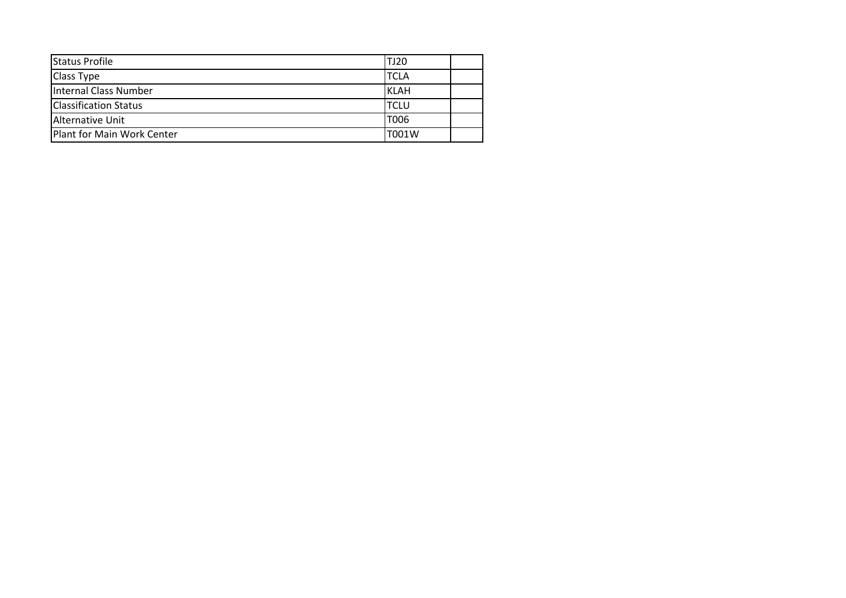| Status Profile               | TJ20        |  |
|------------------------------|-------------|--|
| <b>Class Type</b>            | <b>TCLA</b> |  |
| Internal Class Number        | <b>KLAH</b> |  |
| <b>Classification Status</b> | <b>TCLU</b> |  |
| Alternative Unit             | T006        |  |
| Plant for Main Work Center   | T001W       |  |